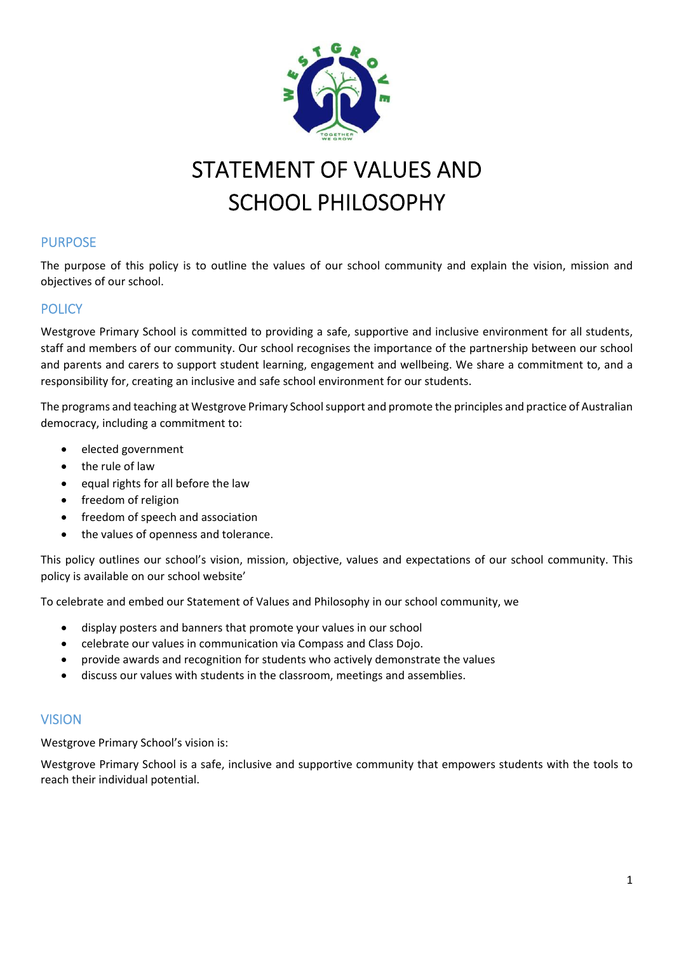

# STATEMENT OF VALUES AND SCHOOL PHILOSOPHY

# PURPOSE

The purpose of this policy is to outline the values of our school community and explain the vision, mission and objectives of our school.

# **POLICY**

Westgrove Primary School is committed to providing a safe, supportive and inclusive environment for all students, staff and members of our community. Our school recognises the importance of the partnership between our school and parents and carers to support student learning, engagement and wellbeing. We share a commitment to, and a responsibility for, creating an inclusive and safe school environment for our students.

The programs and teaching at Westgrove Primary School support and promote the principles and practice of Australian democracy, including a commitment to:

- elected government
- the rule of law
- equal rights for all before the law
- freedom of religion
- freedom of speech and association
- the values of openness and tolerance.

This policy outlines our school's vision, mission, objective, values and expectations of our school community. This policy is available on our school website'

To celebrate and embed our Statement of Values and Philosophy in our school community, we

- display posters and banners that promote your values in our school
- celebrate our values in communication via Compass and Class Dojo.
- provide awards and recognition for students who actively demonstrate the values
- discuss our values with students in the classroom, meetings and assemblies.

#### **VISION**

Westgrove Primary School's vision is:

Westgrove Primary School is a safe, inclusive and supportive community that empowers students with the tools to reach their individual potential.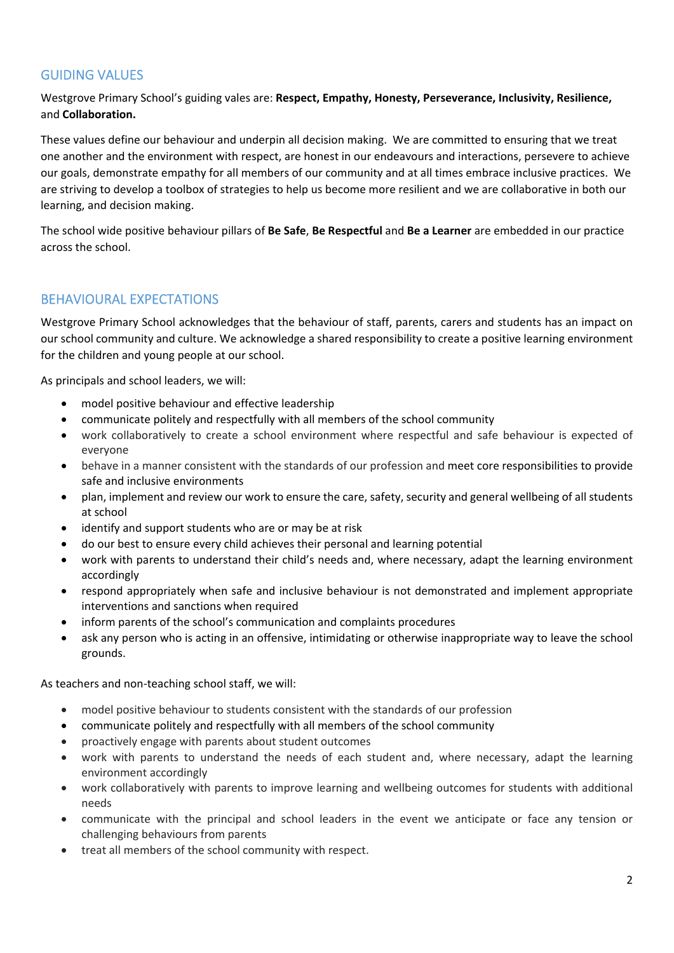# GUIDING VALUES

Westgrove Primary School's guiding vales are: **Respect, Empathy, Honesty, Perseverance, Inclusivity, Resilience,**  and **Collaboration.** 

These values define our behaviour and underpin all decision making. We are committed to ensuring that we treat one another and the environment with respect, are honest in our endeavours and interactions, persevere to achieve our goals, demonstrate empathy for all members of our community and at all times embrace inclusive practices. We are striving to develop a toolbox of strategies to help us become more resilient and we are collaborative in both our learning, and decision making.

The school wide positive behaviour pillars of **Be Safe**, **Be Respectful** and **Be a Learner** are embedded in our practice across the school.

# BEHAVIOURAL EXPECTATIONS

Westgrove Primary School acknowledges that the behaviour of staff, parents, carers and students has an impact on our school community and culture. We acknowledge a shared responsibility to create a positive learning environment for the children and young people at our school.

As principals and school leaders, we will:

- model positive behaviour and effective leadership
- communicate politely and respectfully with all members of the school community
- work collaboratively to create a school environment where respectful and safe behaviour is expected of everyone
- behave in a manner consistent with the standards of our profession and meet core responsibilities to provide safe and inclusive environments
- plan, implement and review our work to ensure the care, safety, security and general wellbeing of all students at school
- identify and support students who are or may be at risk
- do our best to ensure every child achieves their personal and learning potential
- work with parents to understand their child's needs and, where necessary, adapt the learning environment accordingly
- respond appropriately when safe and inclusive behaviour is not demonstrated and implement appropriate interventions and sanctions when required
- inform parents of the school's communication and complaints procedures
- ask any person who is acting in an offensive, intimidating or otherwise inappropriate way to leave the school grounds.

As teachers and non-teaching school staff, we will:

- model positive behaviour to students consistent with the standards of our profession
- communicate politely and respectfully with all members of the school community
- proactively engage with parents about student outcomes
- work with parents to understand the needs of each student and, where necessary, adapt the learning environment accordingly
- work collaboratively with parents to improve learning and wellbeing outcomes for students with additional needs
- communicate with the principal and school leaders in the event we anticipate or face any tension or challenging behaviours from parents
- treat all members of the school community with respect.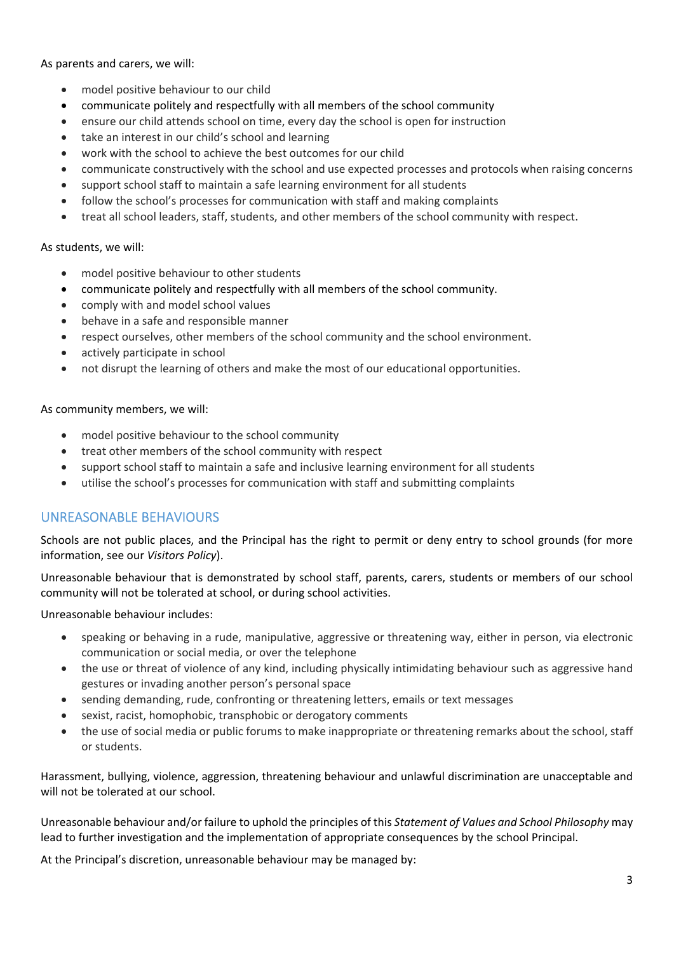As parents and carers, we will:

- model positive behaviour to our child
- communicate politely and respectfully with all members of the school community
- ensure our child attends school on time, every day the school is open for instruction
- take an interest in our child's school and learning
- work with the school to achieve the best outcomes for our child
- communicate constructively with the school and use expected processes and protocols when raising concerns
- support school staff to maintain a safe learning environment for all students
- follow the school's processes for communication with staff and making complaints
- treat all school leaders, staff, students, and other members of the school community with respect.

As students, we will:

- model positive behaviour to other students
- communicate politely and respectfully with all members of the school community.
- comply with and model school values
- behave in a safe and responsible manner
- respect ourselves, other members of the school community and the school environment.
- actively participate in school
- not disrupt the learning of others and make the most of our educational opportunities.

As community members, we will:

- model positive behaviour to the school community
- treat other members of the school community with respect
- support school staff to maintain a safe and inclusive learning environment for all students
- utilise the school's processes for communication with staff and submitting complaints

#### UNREASONABLE BEHAVIOURS

Schools are not public places, and the Principal has the right to permit or deny entry to school grounds (for more information, see our *Visitors Policy*).

Unreasonable behaviour that is demonstrated by school staff, parents, carers, students or members of our school community will not be tolerated at school, or during school activities.

Unreasonable behaviour includes:

- speaking or behaving in a rude, manipulative, aggressive or threatening way, either in person, via electronic communication or social media, or over the telephone
- the use or threat of violence of any kind, including physically intimidating behaviour such as aggressive hand gestures or invading another person's personal space
- sending demanding, rude, confronting or threatening letters, emails or text messages
- sexist, racist, homophobic, transphobic or derogatory comments
- the use of social media or public forums to make inappropriate or threatening remarks about the school, staff or students.

Harassment, bullying, violence, aggression, threatening behaviour and unlawful discrimination are unacceptable and will not be tolerated at our school.

Unreasonable behaviour and/or failure to uphold the principles of this *Statement of Values and School Philosophy* may lead to further investigation and the implementation of appropriate consequences by the school Principal.

At the Principal's discretion, unreasonable behaviour may be managed by: